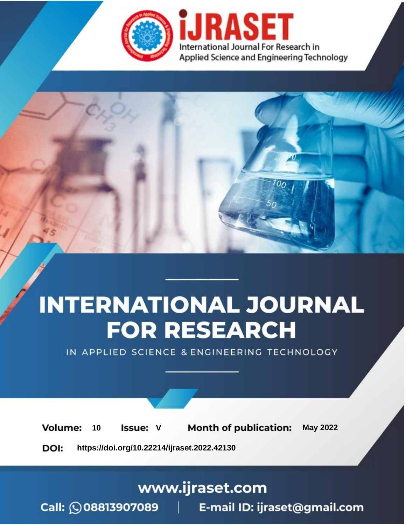

# **INTERNATIONAL JOURNAL FOR RESEARCH**

IN APPLIED SCIENCE & ENGINEERING TECHNOLOGY

Volume: **Month of publication: May 2022** 10 **Issue: V** 

DOI: https://doi.org/10.22214/ijraset.2022.42130

www.ijraset.com

Call: 008813907089 | E-mail ID: ijraset@gmail.com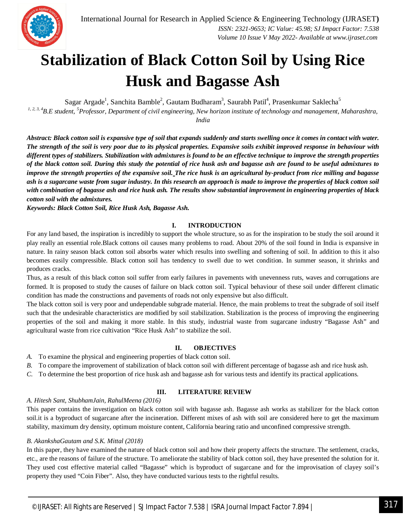

# **Stabilization of Black Cotton Soil by Using Rice Husk and Bagasse Ash**

Sagar Argade<sup>1</sup>, Sanchita Bamble<sup>2</sup>, Gautam Budharam<sup>3</sup>, Saurabh Patil<sup>4</sup>, Prasenkumar Saklecha<sup>5</sup>

*1, 2, 3, <sup>4</sup>B.E student, <sup>5</sup>Professor, Department of civil engineering, New horizon institute of technology and management, Maharashtra, India*

*Abstract: Black cotton soil is expansive type of soil that expands suddenly and starts swelling once it comes in contact with water. The strength of the soil is very poor due to its physical properties. Expansive soils exhibit improved response in behaviour with different types of stabilizers. Stabilization with admixtures is found to be an effective technique to improve the strength properties of the black cotton soil. During this study the potential of rice husk ash and bagasse ash are found to be useful admixtures to improve the strength properties of the expansive soil. The rice husk is an agricultural by-product from rice milling and bagasse ash is a sugarcane waste from sugar industry. In this research an approach is made to improve the properties of black cotton soil*  with combination of bagasse ash and rice husk ash. The results show substantial *improvement in engineering properties of black cotton soil with the admixtures.*

*Keywords: Black Cotton Soil, Rice Husk Ash, Bagasse Ash.*

# **I. INTRODUCTION**

For any land based, the inspiration is incredibly to support the whole structure, so as for the inspiration to be study the soil around it play really an essential role.Black cottons oil causes many problems to road. About 20% of the soil found in India is expansive in nature. In rainy season black cotton soil absorbs water which results into swelling and softening of soil. In addition to this it also becomes easily compressible. Black cotton soil has tendency to swell due to wet condition. In summer season, it shrinks and produces cracks.

Thus, as a result of this black cotton soil suffer from early failures in pavements with unevenness ruts, waves and corrugations are formed. It is proposed to study the causes of failure on black cotton soil. Typical behaviour of these soil under different climatic condition has made the constructions and pavements of roads not only expensive but also difficult.

The black cotton soil is very poor and undependable subgrade material. Hence, the main problems to treat the subgrade of soil itself such that the undesirable characteristics are modified by soil stabilization. Stabilization is the process of improving the engineering properties of the soil and making it more stable. In this study, industrial waste from sugarcane industry "Bagasse Ash" and agricultural waste from rice cultivation "Rice Husk Ash" to stabilize the soil.

### **II. OBJECTIVES**

- *A.* To examine the physical and engineering properties of black cotton soil.
- *B.* To compare the improvement of stabilization of black cotton soil with different percentage of bagasse ash and rice husk ash.
- *C.* To determine the best proportion of rice husk ash and bagasse ash for various tests and identify its practical applications.

### **III. LITERATURE REVIEW**

# *A. Hitesh Sant, ShubhamJain, RahulMeena (2016)*

This paper contains the investigation on black cotton soil with bagasse ash. Bagasse ash works as stabilizer for the black cotton soil.it is a byproduct of sugarcane after the incineration. Different mixes of ash with soil are considered here to get the maximum stability, maximum dry density, optimum moisture content, California bearing ratio and unconfined compressive strength.

# *B. AkankshaGautam and S.K. Mittal (2018)*

In this paper, they have examined the nature of black cotton soil and how their property affects the structure. The settlement, cracks, etc., are the reasons of failure of the structure. To ameliorate the stability of black cotton soil, they have presented the solution for it. They used cost effective material called "Bagasse" which is byproduct of sugarcane and for the improvisation of clayey soil's property they used "Coin Fiber". Also, they have conducted various tests to the rightful results.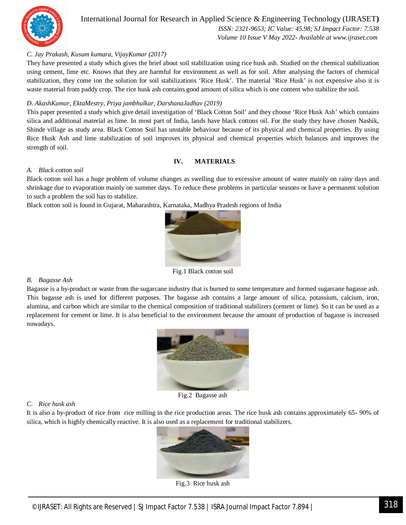

 *ISSN: 2321-9653; IC Value: 45.98; SJ Impact Factor: 7.538 Volume 10 Issue V May 2022- Available at www.ijraset.com*

# *C. Jay Prakash, Kusum kumara, VijayKumar (2017)*

They have presented a study which gives the brief about soil stabilization using rice husk ash. Studied on the chemical stabilization using cement, lime etc. Knows that they are harmful for environment as well as for soil. After analysing the factors of chemical stabilization, they come ion the solution for soil stabilizations 'Rice Husk'. The material 'Rice Husk' is not expensive also it is waste material from paddy crop. The rice husk ash contains good amount of silica which is one content who stabilize the soil.

# *D*. *AkashKumar, EktaMestry, Priya jambhulkar, DarshanaJadhav (2019)*

This paper presented a study which give detail investigation of 'Black Cotton Soil' and they choose 'Rice Husk Ash' which contains silica and additional material as lime. In most part of India, lands have black cottons oil. For the study they have chosen Nashik, Shinde village as study area. Black Cotton Soil has unstable behaviour because of its physical and chemical properties. By using Rice Husk Ash and lime stabilization of soil improves its physical and chemical properties which balances and improves the strength of soil.

### **IV. MATERIALS**

#### *A. Black cotton soil*

Black cotton soil has a huge problem of volume changes as swelling due to excessive amount of water mainly on rainy days and shrinkage due to evaporation mainly on summer days. To reduce these problems in particular seasons or have a permanent solution to such a problem the soil has to stabilize.

Black cotton soil is found in Gujarat, Maharashtra, Karnataka, Madhya Pradesh regions of India



Fig.1 Black cotton soil

### *B. Bagasse Ash*

Bagasse is a by-product or waste from the sugarcane industry that is burned to some temperature and formed sugarcane bagasse ash. This bagasse ash is used for different purposes. The bagasse ash contains a large amount of silica, potassium, calcium, iron, alumina, and carbon which are similar to the chemical composition of traditional stabilizers (cement or lime). So it can be used as a replacement for cement or lime. It is also beneficial to the environment because the amount of production of bagasse is increased nowadays.



Fig.2 Bagasse ash

#### *C. Rice husk ash*

It is also a by-product of rice from rice milling in the rice production areas. The rice husk ash contains approximately 65- 90% of silica, which is highly chemically reactive. It is also used as a replacement for traditional stabilizers.



Fig.3 Rice husk ash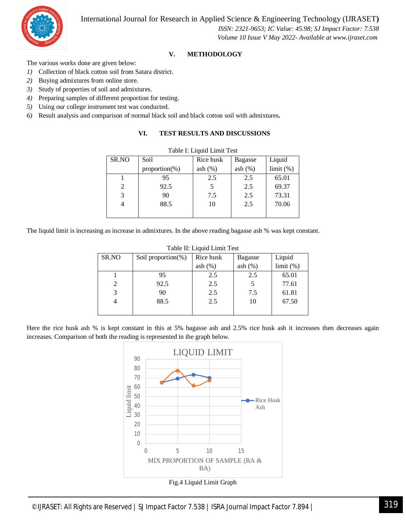

 *ISSN: 2321-9653; IC Value: 45.98; SJ Impact Factor: 7.538 Volume 10 Issue V May 2022- Available at www.ijraset.com*

# **V. METHODOLOGY**

The various works done are given below:

- *1)* Collection of black cotton soil from Satara district.
- *2)* Buying admixtures from online store.
- *3)* Study of properties of soil and admixtures.
- *4)* Preparing samples of different proportion for testing.
- *5)* Using our college instrument test was conducted.
- *6)* Result analysis and comparison of normal black soil and black cotton soil with admixtures**.**

# **VI. TEST RESULTS AND DISCUSSIONS**

| Table I: Liquid Limit Test |                   |            |            |           |  |
|----------------------------|-------------------|------------|------------|-----------|--|
| SR.NO                      | Soil              | Rice husk  | Bagasse    | Liquid    |  |
|                            | proportion $(\%)$ | ash $(\%)$ | ash $(\%)$ | limit (%) |  |
|                            | 95                | 2.5        | 2.5        | 65.01     |  |
| 2                          | 92.5              |            | 2.5        | 69.37     |  |
| 3                          | 90                | 7.5        | 2.5        | 73.31     |  |
| 4                          | 88.5              | 10         | 2.5        | 70.06     |  |
|                            |                   |            |            |           |  |

The liquid limit is increasing as increase in admixtures. In the above reading bagasse ash % was kept constant.

| Table II. Liquid Lillin Test |                        |            |            |           |  |
|------------------------------|------------------------|------------|------------|-----------|--|
| SR.NO                        | Soil proportion $(\%)$ | Rice husk  | Bagasse    | Liquid    |  |
|                              |                        | ash $(\%)$ | ash $(\%)$ | limit (%) |  |
|                              | 95                     | 2.5        | 2.5        | 65.01     |  |
| 2                            | 92.5                   | 2.5        |            | 77.61     |  |
| 3                            | 90                     | 2.5        | 7.5        | 61.81     |  |
| 4                            | 88.5                   | 2.5        | 10         | 67.50     |  |
|                              |                        |            |            |           |  |

Table II: Liquid Limit Test

Here the rice husk ash % is kept constant in this at 5% bagasse ash and 2.5% rice husk ash it increases then decreases again increases. Comparison of both the reading is represented in the graph below.

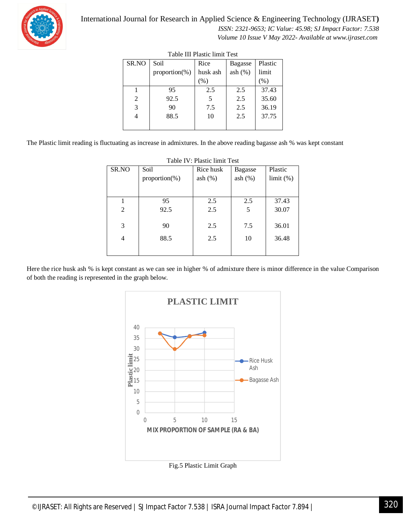

 *ISSN: 2321-9653; IC Value: 45.98; SJ Impact Factor: 7.538 Volume 10 Issue V May 2022- Available at www.ijraset.com*

| Table III i fastie milit Test |                   |          |                |         |  |
|-------------------------------|-------------------|----------|----------------|---------|--|
| SR.NO                         | Soil              | Rice     | <b>Bagasse</b> | Plastic |  |
|                               | proportion $(\%)$ | husk ash | ash(%)         | limit   |  |
|                               |                   | (% )     |                | (% )    |  |
|                               | 95                | 2.5      | 2.5            | 37.43   |  |
| 2                             | 92.5              | 5        | 2.5            | 35.60   |  |
| 3                             | 90                | 7.5      | 2.5            | 36.19   |  |
|                               | 88.5              | 10       | 2.5            | 37.75   |  |
|                               |                   |          |                |         |  |
|                               |                   |          |                |         |  |

| Table III Plastic limit Test |
|------------------------------|
|------------------------------|

The Plastic limit reading is fluctuating as increase in admixtures. In the above reading bagasse ash % was kept constant

| 1 0010 1 1 . 1 100010 1111111 1 001 |                   |            |            |           |  |
|-------------------------------------|-------------------|------------|------------|-----------|--|
| SR.NO                               | Soil              | Rice husk  | Bagasse    | Plastic   |  |
|                                     | proportion $(\%)$ | ash $(\%)$ | ash $(\%)$ | limit (%) |  |
|                                     |                   |            |            |           |  |
|                                     |                   |            |            |           |  |
|                                     | 95                | 2.5        | 2.5        | 37.43     |  |
| $\overline{2}$                      | 92.5              | 2.5        | 5          | 30.07     |  |
|                                     |                   |            |            |           |  |
| 3                                   | 90                | 2.5        | 7.5        | 36.01     |  |
|                                     |                   |            |            |           |  |
| 4                                   | 88.5              | 2.5        | 10         | 36.48     |  |
|                                     |                   |            |            |           |  |
|                                     |                   |            |            |           |  |
|                                     |                   |            |            |           |  |

Table IV: Plastic limit Test

Here the rice husk ash % is kept constant as we can see in higher % of admixture there is minor difference in the value Comparison of both the reading is represented in the graph below.



Fig.5 Plastic Limit Graph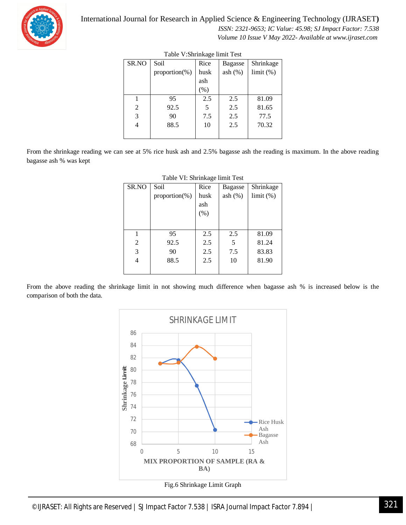

 *ISSN: 2321-9653; IC Value: 45.98; SJ Impact Factor: 7.538 Volume 10 Issue V May 2022- Available at www.ijraset.com*

| $1000 \times 0.0111118460$ $11111$ |                   |        |         |           |  |
|------------------------------------|-------------------|--------|---------|-----------|--|
| SR.NO                              | Soil              | Rice   | Bagasse | Shrinkage |  |
|                                    | proportion $(\%)$ | husk   | ash(%)  | limit (%) |  |
|                                    |                   | ash    |         |           |  |
|                                    |                   | $(\%)$ |         |           |  |
|                                    | 95                | 2.5    | 2.5     | 81.09     |  |
| 2                                  | 92.5              | 5      | 2.5     | 81.65     |  |
| 3                                  | 90                | 7.5    | 2.5     | 77.5      |  |
| 4                                  | 88.5              | 10     | 2.5     | 70.32     |  |
|                                    |                   |        |         |           |  |

Table V:Shrinkage limit Test

From the shrinkage reading we can see at 5% rice husk ash and 2.5% bagasse ash the reading is maximum. In the above reading bagasse ash % was kept

| SR.NO          | Soil              | Rice | <b>Bagasse</b> | Shrinkage |
|----------------|-------------------|------|----------------|-----------|
|                | $proportion(\% )$ | husk | ash $(\%)$     | limit (%) |
|                |                   | ash  |                |           |
|                |                   | (% ) |                |           |
|                |                   |      |                |           |
|                |                   |      |                |           |
| 1              | 95                | 2.5  | 2.5            | 81.09     |
| $\overline{2}$ | 92.5              | 2.5  | 5              | 81.24     |
| 3              | 90                | 2.5  | 7.5            | 83.83     |
| 4              | 88.5              | 2.5  | 10             | 81.90     |
|                |                   |      |                |           |
|                |                   |      |                |           |

From the above reading the shrinkage limit in not showing much difference when bagasse ash % is increased below is the comparison of both the data.

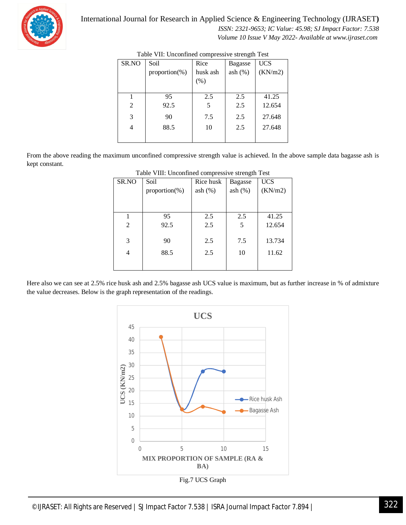

 *ISSN: 2321-9653; IC Value: 45.98; SJ Impact Factor: 7.538 Volume 10 Issue V May 2022- Available at www.ijraset.com*

| SR.NO          | Soil<br>proportion $(\%)$ | Rice<br>husk ash<br>(% ) | Bagasse<br>ash(%) | <b>UCS</b><br>(KN/m2) |
|----------------|---------------------------|--------------------------|-------------------|-----------------------|
|                | 95                        | 2.5                      | 2.5               | 41.25                 |
| 2              | 92.5                      | 5                        | 2.5               | 12.654                |
| 3              | 90                        | 7.5                      | 2.5               | 27.648                |
| $\overline{4}$ | 88.5                      | 10                       | 2.5               | 27.648                |
|                |                           |                          |                   |                       |

From the above reading the maximum unconfined compressive strength value is achieved. In the above sample data bagasse ash is kept constant.

| Tuole This encommed compressive strength Test |                   |            |                |            |
|-----------------------------------------------|-------------------|------------|----------------|------------|
| SR.NO                                         | Soil              | Rice husk  | <b>Bagasse</b> | <b>UCS</b> |
|                                               | proportion $(\%)$ | ash $(\%)$ | ash $(\%)$     | (KN/m2)    |
|                                               |                   |            |                |            |
|                                               |                   |            |                |            |
|                                               | 95                | 2.5        | 2.5            | 41.25      |
| 2                                             | 92.5              | 2.5        | 5              | 12.654     |
|                                               |                   |            |                |            |
| 3                                             | 90                | 2.5        | 7.5            | 13.734     |
| 4                                             | 88.5              | 2.5        | 10             | 11.62      |
|                                               |                   |            |                |            |
|                                               |                   |            |                |            |

#### Table VIII: Unconfined compressive strength Test

Here also we can see at 2.5% rice husk ash and 2.5% bagasse ash UCS value is maximum, but as further increase in % of admixture the value decreases. Below is the graph representation of the readings.

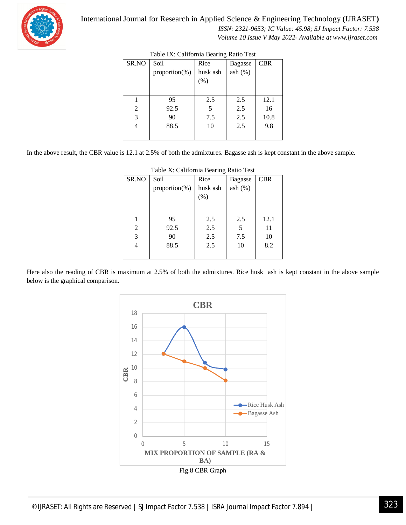

 *ISSN: 2321-9653; IC Value: 45.98; SJ Impact Factor: 7.538 Volume 10 Issue V May 2022- Available at www.ijraset.com*

| 1400  |                   |          |                |            |  |
|-------|-------------------|----------|----------------|------------|--|
| SR.NO | Soil              | Rice     | <b>Bagasse</b> | <b>CBR</b> |  |
|       | proportion $(\%)$ | husk ash | ash(%)         |            |  |
|       |                   | (% )     |                |            |  |
|       |                   |          |                |            |  |
|       | 95                | 2.5      | 2.5            | 12.1       |  |
| 2     | 92.5              | 5        | 2.5            | 16         |  |
| 3     | 90                | 7.5      | 2.5            | 10.8       |  |
| 4     | 88.5              | 10       | 2.5            | 9.8        |  |
|       |                   |          |                |            |  |
|       |                   |          |                |            |  |

In the above result, the CBR value is 12.1 at 2.5% of both the admixtures. Bagasse ash is kept constant in the above sample.

|       |                   | ັ        |                |            |
|-------|-------------------|----------|----------------|------------|
| SR.NO | Soil              | Rice     | <b>Bagasse</b> | <b>CBR</b> |
|       | proportion $(\%)$ | husk ash | ash(%)         |            |
|       |                   | (% )     |                |            |
|       |                   |          |                |            |
|       |                   |          |                |            |
|       | 95                | 2.5      | 2.5            | 12.1       |
| 2     | 92.5              | 2.5      | 5              | 11         |
| 3     | 90                | 2.5      | 7.5            | 10         |
|       | 88.5              | 2.5      | 10             | 8.2        |
|       |                   |          |                |            |
|       |                   |          |                |            |

#### Table X: California Bearing Ratio Test

Here also the reading of CBR is maximum at 2.5% of both the admixtures. Rice husk ash is kept constant in the above sample below is the graphical comparison.

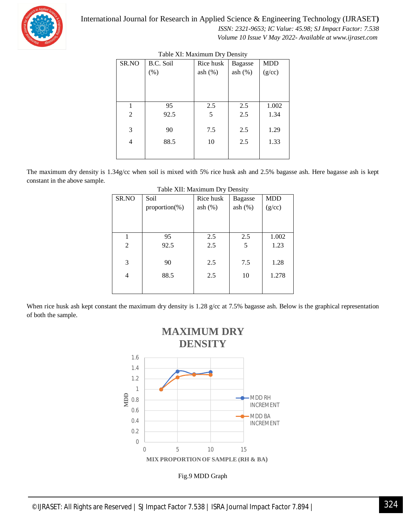

 *ISSN: 2321-9653; IC Value: 45.98; SJ Impact Factor: 7.538 Volume 10 Issue V May 2022- Available at www.ijraset.com*

| $\ldots$       |           |            |                |            |
|----------------|-----------|------------|----------------|------------|
| SR.NO          | B.C. Soil | Rice husk  | <b>Bagasse</b> | <b>MDD</b> |
|                | (% )      | ash $(\%)$ | ash(%)         | (g/cc)     |
|                |           |            |                |            |
|                |           |            |                |            |
|                |           |            |                |            |
|                | 95        | 2.5        | 2.5            | 1.002      |
| $\overline{2}$ | 92.5      | 5          | 2.5            | 1.34       |
|                |           |            |                |            |
| 3              | 90        | 7.5        | 2.5            | 1.29       |
| 4              | 88.5      | 10         | 2.5            | 1.33       |
|                |           |            |                |            |
|                |           |            |                |            |

# Table XI: Maximum Dry Density

The maximum dry density is 1.34g/cc when soil is mixed with 5% rice husk ash and 2.5% bagasse ash. Here bagasse ash is kept constant in the above sample.

| SR.NO          | Soil              | Rice husk | Bagasse | <b>MDD</b> |
|----------------|-------------------|-----------|---------|------------|
|                | $proportion(\% )$ | ash(%)    | ash(%)  | (g/cc)     |
|                |                   |           |         |            |
|                |                   |           |         |            |
|                | 95                | 2.5       | 2.5     | 1.002      |
| $\overline{2}$ | 92.5              | 2.5       | 5       | 1.23       |
|                |                   |           |         |            |
| 3              | 90                | 2.5       | 7.5     | 1.28       |
| 4              | 88.5              | 2.5       | 10      | 1.278      |
|                |                   |           |         |            |
|                |                   |           |         |            |

|  | Table XII: Maximum Dry Density |  |
|--|--------------------------------|--|
|  |                                |  |

When rice husk ash kept constant the maximum dry density is 1.28 g/cc at 7.5% bagasse ash. Below is the graphical representation of both the sample.

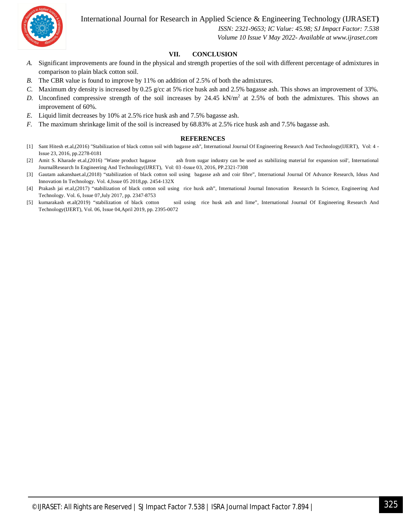

 *ISSN: 2321-9653; IC Value: 45.98; SJ Impact Factor: 7.538 Volume 10 Issue V May 2022- Available at www.ijraset.com*

# **VII. CONCLUSION**

- *A.* Significant improvements are found in the physical and strength properties of the soil with different percentage of admixtures in comparison to plain black cotton soil.
- *B.* The CBR value is found to improve by 11% on addition of 2.5% of both the admixtures.
- *C.* Maximum dry density is increased by 0.25 g/cc at 5% rice husk ash and 2.5% bagasse ash. This shows an improvement of 33%.
- D. Unconfined compressive strength of the soil increases by  $24.45 \text{ kN/m}^2$  at  $2.5\%$  of both the admixtures. This shows an improvement of 60%.
- *E.* Liquid limit decreases by 10% at 2.5% rice husk ash and 7.5% bagasse ash.
- *F.* The maximum shrinkage limit of the soil is increased by 68.83% at 2.5% rice husk ash and 7.5% bagasse ash.

#### **REFERENCES**

- [1] Sant Hitesh et.al,(2016) "Stabilization of black cotton soil with bagasse ash'', International Journal Of Engineering Research And Technology(IJERT), Vol: 4 Issue 23, 2016, pp.2278-0181
- [2] Amit S. Kharade et.al,(2016) "Waste product bagasse ash from sugar industry can be used as stabilizing material for expansion soil', International JournalResearch In Engineering And Technology(IJRET), Vol: 03 -Issue 03, 2016, PP.2321-7308
- [3] Gautam aakanshaet.al,(2018) "stabilization of black cotton soil using bagasse ash and coir fibre", International Journal Of Advance Research, Ideas And Innovation In Technology. Vol. 4,Issue 05 2018,pp. 2454-132X
- [4] Prakash jai et.al,(2017) "stabilization of black cotton soil using rice husk ash", International Journal Innovation Research In Science, Engineering And Technology. Vol. 6, Issue 07,July 2017, pp. 2347-8753
- [5] kumarakash et.al(2019) "stabilization of black cotton soil using rice husk ash and lime", International Journal Of Engineering Research And Technology(IJERT), Vol. 06, Issue 04,April 2019, pp. 2395-0072